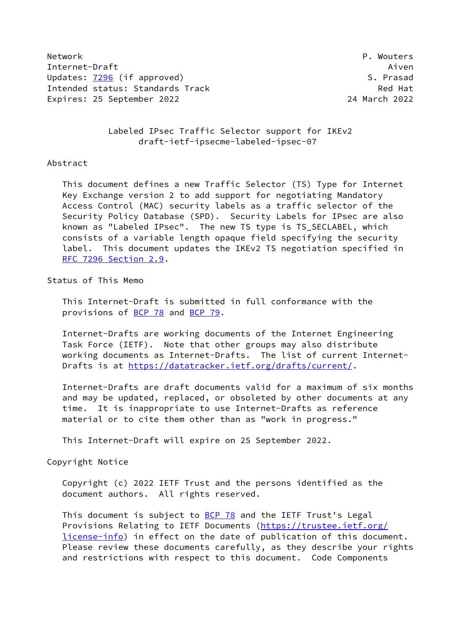Network **P. Wouters** Internet-Draft Aiven Updates: [7296](https://datatracker.ietf.org/doc/pdf/rfc7296) (if approved) S. Prasad Intended status: Standards Track Red Hat Expires: 25 September 2022 24 March 2022

 Labeled IPsec Traffic Selector support for IKEv2 draft-ietf-ipsecme-labeled-ipsec-07

## Abstract

 This document defines a new Traffic Selector (TS) Type for Internet Key Exchange version 2 to add support for negotiating Mandatory Access Control (MAC) security labels as a traffic selector of the Security Policy Database (SPD). Security Labels for IPsec are also known as "Labeled IPsec". The new TS type is TS\_SECLABEL, which consists of a variable length opaque field specifying the security label. This document updates the IKEv2 TS negotiation specified in [RFC 7296 Section](https://datatracker.ietf.org/doc/pdf/rfc7296#section-2.9) 2.9.

# Status of This Memo

 This Internet-Draft is submitted in full conformance with the provisions of [BCP 78](https://datatracker.ietf.org/doc/pdf/bcp78) and [BCP 79](https://datatracker.ietf.org/doc/pdf/bcp79).

 Internet-Drafts are working documents of the Internet Engineering Task Force (IETF). Note that other groups may also distribute working documents as Internet-Drafts. The list of current Internet- Drafts is at<https://datatracker.ietf.org/drafts/current/>.

 Internet-Drafts are draft documents valid for a maximum of six months and may be updated, replaced, or obsoleted by other documents at any time. It is inappropriate to use Internet-Drafts as reference material or to cite them other than as "work in progress."

This Internet-Draft will expire on 25 September 2022.

#### Copyright Notice

 Copyright (c) 2022 IETF Trust and the persons identified as the document authors. All rights reserved.

This document is subject to **[BCP 78](https://datatracker.ietf.org/doc/pdf/bcp78)** and the IETF Trust's Legal Provisions Relating to IETF Documents ([https://trustee.ietf.org/](https://trustee.ietf.org/license-info) [license-info](https://trustee.ietf.org/license-info)) in effect on the date of publication of this document. Please review these documents carefully, as they describe your rights and restrictions with respect to this document. Code Components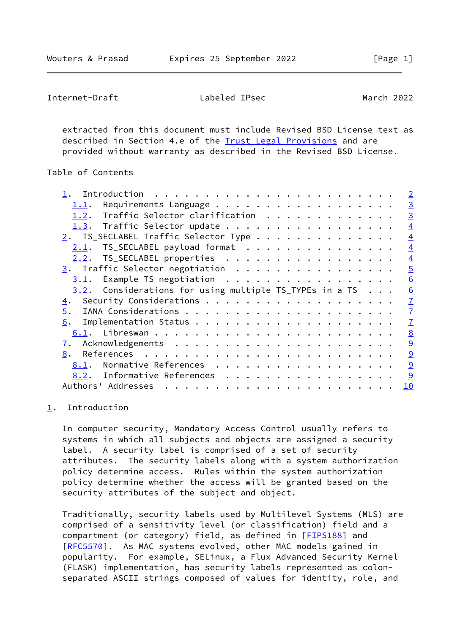<span id="page-1-1"></span>Internet-Draft Labeled IPsec March 2022

 extracted from this document must include Revised BSD License text as described in Section 4.e of the [Trust Legal Provisions](https://trustee.ietf.org/license-info) and are provided without warranty as described in the Revised BSD License.

# Table of Contents

|                                                                                                                                                                                                                                                     | $\overline{2}$ |
|-----------------------------------------------------------------------------------------------------------------------------------------------------------------------------------------------------------------------------------------------------|----------------|
| Requirements Language<br>1.1.                                                                                                                                                                                                                       | $\overline{3}$ |
| Traffic Selector clarification<br>1.2.                                                                                                                                                                                                              | $\overline{3}$ |
| 1.3. Traffic Selector update                                                                                                                                                                                                                        | $\overline{4}$ |
| 2. TS_SECLABEL Traffic Selector Type                                                                                                                                                                                                                | $\overline{4}$ |
| TS_SECLABEL payload format<br>2.1.                                                                                                                                                                                                                  | $\overline{4}$ |
| 2.2. TS_SECLABEL properties                                                                                                                                                                                                                         | $\overline{4}$ |
| 3. Traffic Selector negotiation                                                                                                                                                                                                                     | $\overline{5}$ |
| $3.1$ . Example TS negotiation                                                                                                                                                                                                                      | 6              |
| $3.2$ . Considerations for using multiple TS_TYPEs in a TS $\ldots$ .                                                                                                                                                                               | 6              |
| 4.                                                                                                                                                                                                                                                  | $\overline{1}$ |
| 5.                                                                                                                                                                                                                                                  | $\overline{1}$ |
| 6.                                                                                                                                                                                                                                                  | $\overline{1}$ |
|                                                                                                                                                                                                                                                     | 8              |
| <u>7</u> .                                                                                                                                                                                                                                          | 9              |
| 8.                                                                                                                                                                                                                                                  | 9              |
| Normative References<br>8.1.                                                                                                                                                                                                                        | 9              |
| Informative References<br>8.2.                                                                                                                                                                                                                      | 9              |
| Authors' Addresses<br>. The contract of the contract of the contract of the contract of the contract of the contract of the contract of the contract of the contract of the contract of the contract of the contract of the contract of the contrac | 10             |
|                                                                                                                                                                                                                                                     |                |

# <span id="page-1-0"></span>[1](#page-1-0). Introduction

 In computer security, Mandatory Access Control usually refers to systems in which all subjects and objects are assigned a security label. A security label is comprised of a set of security attributes. The security labels along with a system authorization policy determine access. Rules within the system authorization policy determine whether the access will be granted based on the security attributes of the subject and object.

 Traditionally, security labels used by Multilevel Systems (MLS) are comprised of a sensitivity level (or classification) field and a compartment (or category) field, as defined in [\[FIPS188](#page-9-5)] and [\[RFC5570](https://datatracker.ietf.org/doc/pdf/rfc5570)]. As MAC systems evolved, other MAC models gained in popularity. For example, SELinux, a Flux Advanced Security Kernel (FLASK) implementation, has security labels represented as colon separated ASCII strings composed of values for identity, role, and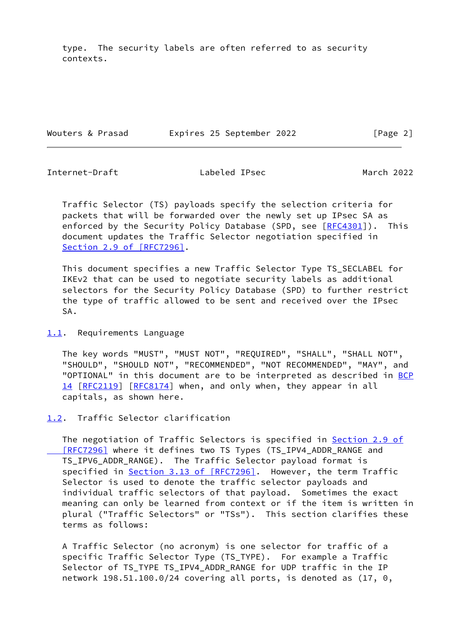type. The security labels are often referred to as security contexts.

Wouters & Prasad Expires 25 September 2022 [Page 2]

<span id="page-2-1"></span>Internet-Draft Labeled IPsec March 2022

 Traffic Selector (TS) payloads specify the selection criteria for packets that will be forwarded over the newly set up IPsec SA as enforced by the Security Policy Database (SPD, see  $[RECA301]$ ). This document updates the Traffic Selector negotiation specified in Section [2.9 of \[RFC7296\]](https://datatracker.ietf.org/doc/pdf/rfc7296#section-2.9).

 This document specifies a new Traffic Selector Type TS\_SECLABEL for IKEv2 that can be used to negotiate security labels as additional selectors for the Security Policy Database (SPD) to further restrict the type of traffic allowed to be sent and received over the IPsec SA.

<span id="page-2-0"></span>[1.1](#page-2-0). Requirements Language

 The key words "MUST", "MUST NOT", "REQUIRED", "SHALL", "SHALL NOT", "SHOULD", "SHOULD NOT", "RECOMMENDED", "NOT RECOMMENDED", "MAY", and "OPTIONAL" in this document are to be interpreted as described in [BCP](https://datatracker.ietf.org/doc/pdf/bcp14) [14](https://datatracker.ietf.org/doc/pdf/bcp14) [[RFC2119\]](https://datatracker.ietf.org/doc/pdf/rfc2119) [\[RFC8174](https://datatracker.ietf.org/doc/pdf/rfc8174)] when, and only when, they appear in all capitals, as shown here.

<span id="page-2-2"></span>[1.2](#page-2-2). Traffic Selector clarification

The negotiation of Traffic Selectors is specified in **Section 2.9 of** [RFC7296] where it defines two TS Types (TS\_IPV4\_ADDR\_RANGE and TS\_IPV6\_ADDR\_RANGE). The Traffic Selector payload format is specified in Section [3.13 of \[RFC7296\]](https://datatracker.ietf.org/doc/pdf/rfc7296#section-3.13). However, the term Traffic Selector is used to denote the traffic selector payloads and individual traffic selectors of that payload. Sometimes the exact meaning can only be learned from context or if the item is written in plural ("Traffic Selectors" or "TSs"). This section clarifies these terms as follows:

 A Traffic Selector (no acronym) is one selector for traffic of a specific Traffic Selector Type (TS\_TYPE). For example a Traffic Selector of TS\_TYPE TS\_IPV4\_ADDR\_RANGE for UDP traffic in the IP network 198.51.100.0/24 covering all ports, is denoted as (17, 0,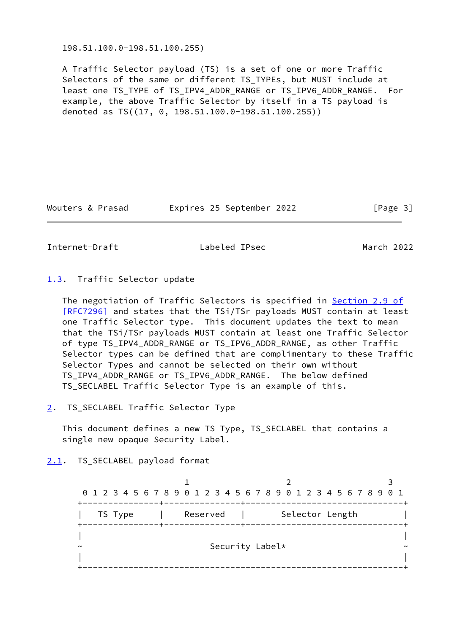198.51.100.0-198.51.100.255)

 A Traffic Selector payload (TS) is a set of one or more Traffic Selectors of the same or different TS\_TYPEs, but MUST include at least one TS\_TYPE of TS\_IPV4\_ADDR\_RANGE or TS\_IPV6\_ADDR\_RANGE. For example, the above Traffic Selector by itself in a TS payload is denoted as TS((17, 0, 198.51.100.0-198.51.100.255))

Wouters & Prasad Expires 25 September 2022 [Page 3]

<span id="page-3-1"></span>Internet-Draft Labeled IPsec March 2022

# <span id="page-3-0"></span>[1.3](#page-3-0). Traffic Selector update

The negotiation of Traffic Selectors is specified in [Section](https://datatracker.ietf.org/doc/pdf/rfc7296#section-2.9) 2.9 of [RFC7296] and states that the TSi/TSr payloads MUST contain at least one Traffic Selector type. This document updates the text to mean that the TSi/TSr payloads MUST contain at least one Traffic Selector of type TS\_IPV4\_ADDR\_RANGE or TS\_IPV6\_ADDR\_RANGE, as other Traffic Selector types can be defined that are complimentary to these Traffic Selector Types and cannot be selected on their own without TS\_IPV4\_ADDR\_RANGE or TS\_IPV6\_ADDR\_RANGE. The below defined TS\_SECLABEL Traffic Selector Type is an example of this.

<span id="page-3-2"></span>[2](#page-3-2). TS\_SECLABEL Traffic Selector Type

 This document defines a new TS Type, TS\_SECLABEL that contains a single new opaque Security Label.

<span id="page-3-3"></span>[2.1](#page-3-3). TS\_SECLABEL payload format

1 2 3 0 1 2 3 4 5 6 7 8 9 0 1 2 3 4 5 6 7 8 9 0 1 2 3 4 5 6 7 8 9 0 1 +---------------+---------------+-------------------------------+ TS Type | Reserved | Selector Length +---------------+---------------+-------------------------------+ | | ~ Security Label\* ~ | | +---------------------------------------------------------------+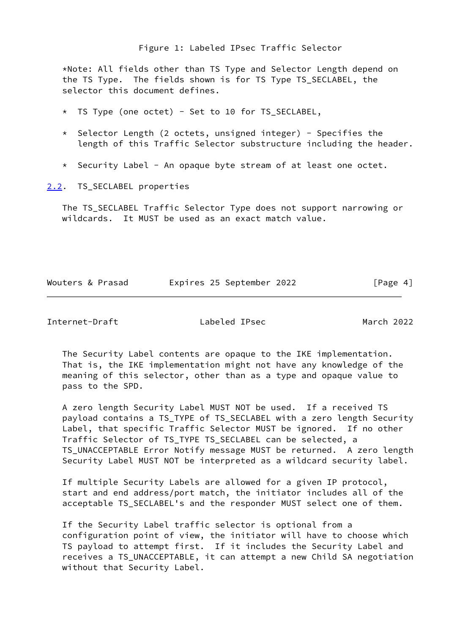\*Note: All fields other than TS Type and Selector Length depend on the TS Type. The fields shown is for TS Type TS\_SECLABEL, the selector this document defines.

- \* TS Type (one octet) Set to 10 for TS\_SECLABEL,
- \* Selector Length (2 octets, unsigned integer) Specifies the length of this Traffic Selector substructure including the header.
- \* Security Label An opaque byte stream of at least one octet.
- <span id="page-4-0"></span>[2.2](#page-4-0). TS\_SECLABEL properties

 The TS\_SECLABEL Traffic Selector Type does not support narrowing or wildcards. It MUST be used as an exact match value.

Wouters & Prasad Expires 25 September 2022 [Page 4]

<span id="page-4-1"></span>Internet-Draft Labeled IPsec March 2022

 The Security Label contents are opaque to the IKE implementation. That is, the IKE implementation might not have any knowledge of the meaning of this selector, other than as a type and opaque value to pass to the SPD.

 A zero length Security Label MUST NOT be used. If a received TS payload contains a TS\_TYPE of TS\_SECLABEL with a zero length Security Label, that specific Traffic Selector MUST be ignored. If no other Traffic Selector of TS\_TYPE TS\_SECLABEL can be selected, a TS\_UNACCEPTABLE Error Notify message MUST be returned. A zero length Security Label MUST NOT be interpreted as a wildcard security label.

 If multiple Security Labels are allowed for a given IP protocol, start and end address/port match, the initiator includes all of the acceptable TS\_SECLABEL's and the responder MUST select one of them.

 If the Security Label traffic selector is optional from a configuration point of view, the initiator will have to choose which TS payload to attempt first. If it includes the Security Label and receives a TS\_UNACCEPTABLE, it can attempt a new Child SA negotiation without that Security Label.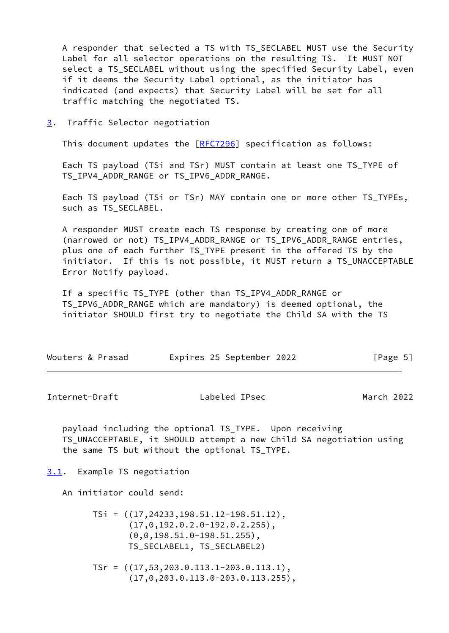A responder that selected a TS with TS\_SECLABEL MUST use the Security Label for all selector operations on the resulting TS. It MUST NOT select a TS SECLABEL without using the specified Security Label, even if it deems the Security Label optional, as the initiator has indicated (and expects) that Security Label will be set for all traffic matching the negotiated TS.

<span id="page-5-0"></span>[3](#page-5-0). Traffic Selector negotiation

This document updates the [[RFC7296](https://datatracker.ietf.org/doc/pdf/rfc7296)] specification as follows:

 Each TS payload (TSi and TSr) MUST contain at least one TS\_TYPE of TS IPV4 ADDR RANGE or TS IPV6 ADDR RANGE.

 Each TS payload (TSi or TSr) MAY contain one or more other TS\_TYPEs, such as TS SECLABEL.

 A responder MUST create each TS response by creating one of more (narrowed or not) TS IPV4 ADDR RANGE or TS IPV6 ADDR RANGE entries, plus one of each further TS\_TYPE present in the offered TS by the initiator. If this is not possible, it MUST return a TS\_UNACCEPTABLE Error Notify payload.

 If a specific TS\_TYPE (other than TS\_IPV4\_ADDR\_RANGE or TS\_IPV6\_ADDR\_RANGE which are mandatory) is deemed optional, the initiator SHOULD first try to negotiate the Child SA with the TS

| Wouters & Prasad |  | Expires 25 September 2022 |  | [Page 5] |  |
|------------------|--|---------------------------|--|----------|--|
|------------------|--|---------------------------|--|----------|--|

<span id="page-5-2"></span>Internet-Draft Labeled IPsec March 2022

 payload including the optional TS\_TYPE. Upon receiving TS\_UNACCEPTABLE, it SHOULD attempt a new Child SA negotiation using the same TS but without the optional TS\_TYPE.

<span id="page-5-1"></span>[3.1](#page-5-1). Example TS negotiation

An initiator could send:

 TSi = ((17,24233,198.51.12-198.51.12),  $(17, 0, 192.0.2.0 - 192.0.2.255)$ ,  $(0,0,198.51.0-198.51.255)$ , TS\_SECLABEL1, TS\_SECLABEL2)

 TSr = ((17,53,203.0.113.1-203.0.113.1), (17,0,203.0.113.0-203.0.113.255),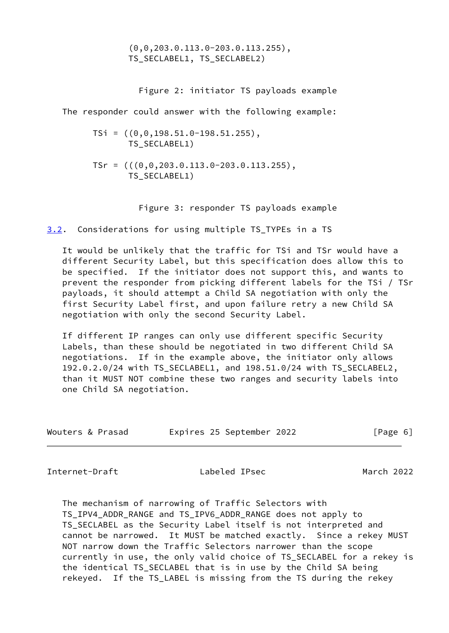$(0, 0, 203.0.113.0 - 203.0.113.255)$ , TS\_SECLABEL1, TS\_SECLABEL2)

Figure 2: initiator TS payloads example

The responder could answer with the following example:

 $TSi = ((0,0,198.51.0-198.51.255),$ TS\_SECLABEL1)

 $TSr = (((0,0,203.0.113.0-203.0.113.255)),$ TS\_SECLABEL1)

Figure 3: responder TS payloads example

<span id="page-6-0"></span>[3.2](#page-6-0). Considerations for using multiple TS\_TYPEs in a TS

 It would be unlikely that the traffic for TSi and TSr would have a different Security Label, but this specification does allow this to be specified. If the initiator does not support this, and wants to prevent the responder from picking different labels for the TSi / TSr payloads, it should attempt a Child SA negotiation with only the first Security Label first, and upon failure retry a new Child SA negotiation with only the second Security Label.

 If different IP ranges can only use different specific Security Labels, than these should be negotiated in two different Child SA negotiations. If in the example above, the initiator only allows 192.0.2.0/24 with TS\_SECLABEL1, and 198.51.0/24 with TS\_SECLABEL2, than it MUST NOT combine these two ranges and security labels into one Child SA negotiation.

| Wouters & Prasad | Expires 25 September 2022 | [Page 6] |
|------------------|---------------------------|----------|
|------------------|---------------------------|----------|

<span id="page-6-1"></span>Internet-Draft Labeled IPsec March 2022

 The mechanism of narrowing of Traffic Selectors with TS\_IPV4\_ADDR\_RANGE and TS\_IPV6\_ADDR\_RANGE does not apply to TS SECLABEL as the Security Label itself is not interpreted and cannot be narrowed. It MUST be matched exactly. Since a rekey MUST NOT narrow down the Traffic Selectors narrower than the scope currently in use, the only valid choice of TS\_SECLABEL for a rekey is the identical TS SECLABEL that is in use by the Child SA being rekeyed. If the TS\_LABEL is missing from the TS during the rekey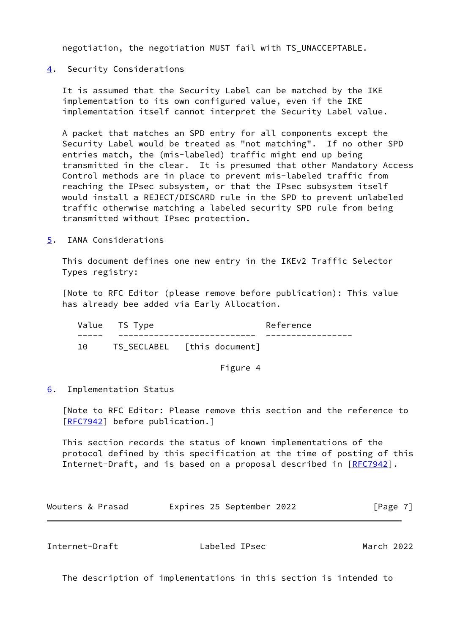negotiation, the negotiation MUST fail with TS\_UNACCEPTABLE.

## <span id="page-7-0"></span>[4](#page-7-0). Security Considerations

 It is assumed that the Security Label can be matched by the IKE implementation to its own configured value, even if the IKE implementation itself cannot interpret the Security Label value.

 A packet that matches an SPD entry for all components except the Security Label would be treated as "not matching". If no other SPD entries match, the (mis-labeled) traffic might end up being transmitted in the clear. It is presumed that other Mandatory Access Control methods are in place to prevent mis-labeled traffic from reaching the IPsec subsystem, or that the IPsec subsystem itself would install a REJECT/DISCARD rule in the SPD to prevent unlabeled traffic otherwise matching a labeled security SPD rule from being transmitted without IPsec protection.

<span id="page-7-1"></span>[5](#page-7-1). IANA Considerations

 This document defines one new entry in the IKEv2 Traffic Selector Types registry:

 [Note to RFC Editor (please remove before publication): This value has already bee added via Early Allocation.

|    | Value TS Type |                             | Reference |
|----|---------------|-----------------------------|-----------|
|    |               |                             |           |
| 10 |               | TS SECLABEL [this document] |           |

Figure 4

<span id="page-7-2"></span>[6](#page-7-2). Implementation Status

 [Note to RFC Editor: Please remove this section and the reference to [\[RFC7942](https://datatracker.ietf.org/doc/pdf/rfc7942)] before publication.]

 This section records the status of known implementations of the protocol defined by this specification at the time of posting of this Internet-Draft, and is based on a proposal described in [\[RFC7942](https://datatracker.ietf.org/doc/pdf/rfc7942)].

| Expires 25 September 2022<br>Wouters & Prasad | [Page 7] |
|-----------------------------------------------|----------|
|-----------------------------------------------|----------|

<span id="page-7-3"></span>Internet-Draft Labeled IPsec March 2022

The description of implementations in this section is intended to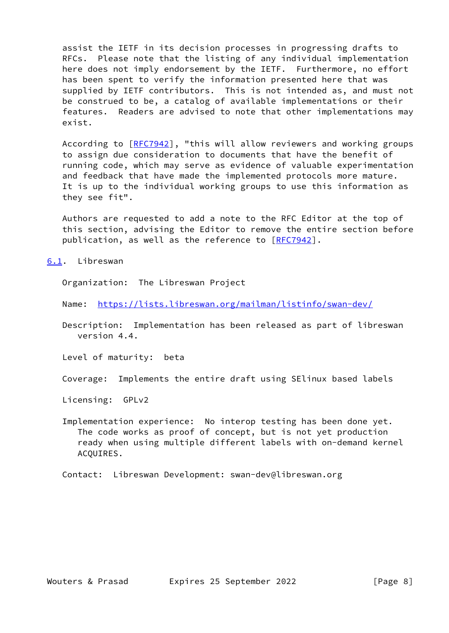assist the IETF in its decision processes in progressing drafts to RFCs. Please note that the listing of any individual implementation here does not imply endorsement by the IETF. Furthermore, no effort has been spent to verify the information presented here that was supplied by IETF contributors. This is not intended as, and must not be construed to be, a catalog of available implementations or their features. Readers are advised to note that other implementations may exist.

According to  $[REC7942]$ , "this will allow reviewers and working groups to assign due consideration to documents that have the benefit of running code, which may serve as evidence of valuable experimentation and feedback that have made the implemented protocols more mature. It is up to the individual working groups to use this information as they see fit".

 Authors are requested to add a note to the RFC Editor at the top of this section, advising the Editor to remove the entire section before publication, as well as the reference to [\[RFC7942](https://datatracker.ietf.org/doc/pdf/rfc7942)].

<span id="page-8-0"></span>[6.1](#page-8-0). Libreswan

Organization: The Libreswan Project

Name: <https://lists.libreswan.org/mailman/listinfo/swan-dev/>

 Description: Implementation has been released as part of libreswan version 4.4.

Level of maturity: beta

Coverage: Implements the entire draft using SElinux based labels

Licensing: GPLv2

 Implementation experience: No interop testing has been done yet. The code works as proof of concept, but is not yet production ready when using multiple different labels with on-demand kernel ACQUIRES.

Contact: Libreswan Development: swan-dev@libreswan.org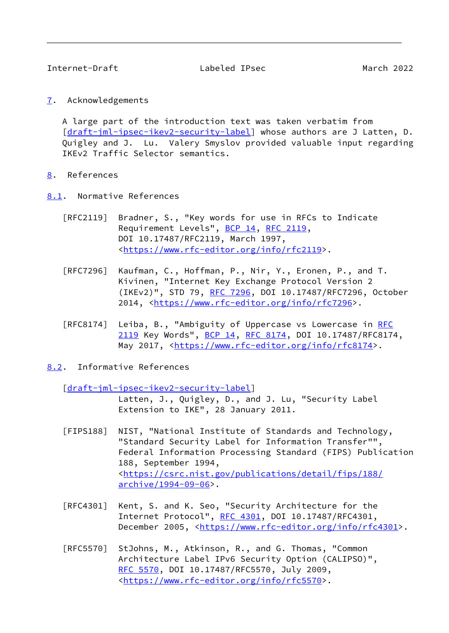<span id="page-9-1"></span><span id="page-9-0"></span>[7](#page-9-0). Acknowledgements

 A large part of the introduction text was taken verbatim from [\[draft-jml-ipsec-ikev2-security-label](https://datatracker.ietf.org/doc/pdf/draft-jml-ipsec-ikev2-security-label)] whose authors are J Latten, D. Quigley and J. Lu. Valery Smyslov provided valuable input regarding IKEv2 Traffic Selector semantics.

- <span id="page-9-2"></span>[8](#page-9-2). References
- <span id="page-9-3"></span>[8.1](#page-9-3). Normative References
	- [RFC2119] Bradner, S., "Key words for use in RFCs to Indicate Requirement Levels", [BCP 14](https://datatracker.ietf.org/doc/pdf/bcp14), [RFC 2119](https://datatracker.ietf.org/doc/pdf/rfc2119), DOI 10.17487/RFC2119, March 1997, <[https://www.rfc-editor.org/info/rfc2119>](https://www.rfc-editor.org/info/rfc2119).
	- [RFC7296] Kaufman, C., Hoffman, P., Nir, Y., Eronen, P., and T. Kivinen, "Internet Key Exchange Protocol Version 2 (IKEv2)", STD 79, [RFC 7296](https://datatracker.ietf.org/doc/pdf/rfc7296), DOI 10.17487/RFC7296, October 2014, [<https://www.rfc-editor.org/info/rfc7296](https://www.rfc-editor.org/info/rfc7296)>.
	- [RFC8174] Leiba, B., "Ambiguity of Uppercase vs Lowercase in [RFC](https://datatracker.ietf.org/doc/pdf/rfc2119) [2119](https://datatracker.ietf.org/doc/pdf/rfc2119) Key Words", [BCP 14](https://datatracker.ietf.org/doc/pdf/bcp14), [RFC 8174,](https://datatracker.ietf.org/doc/pdf/rfc8174) DOI 10.17487/RFC8174, May 2017, [<https://www.rfc-editor.org/info/rfc8174](https://www.rfc-editor.org/info/rfc8174)>.
- <span id="page-9-4"></span>[8.2](#page-9-4). Informative References

[\[draft-jml-ipsec-ikev2-security-label](https://datatracker.ietf.org/doc/pdf/draft-jml-ipsec-ikev2-security-label)]

 Latten, J., Quigley, D., and J. Lu, "Security Label Extension to IKE", 28 January 2011.

- <span id="page-9-5"></span> [FIPS188] NIST, "National Institute of Standards and Technology, "Standard Security Label for Information Transfer"", Federal Information Processing Standard (FIPS) Publication 188, September 1994, <[https://csrc.nist.gov/publications/detail/fips/188/](https://csrc.nist.gov/publications/detail/fips/188/archive/1994-09-06) [archive/1994-09-06>](https://csrc.nist.gov/publications/detail/fips/188/archive/1994-09-06).
- [RFC4301] Kent, S. and K. Seo, "Security Architecture for the Internet Protocol", [RFC 4301,](https://datatracker.ietf.org/doc/pdf/rfc4301) DOI 10.17487/RFC4301, December 2005, <<https://www.rfc-editor.org/info/rfc4301>>.
- [RFC5570] StJohns, M., Atkinson, R., and G. Thomas, "Common Architecture Label IPv6 Security Option (CALIPSO)", [RFC 5570,](https://datatracker.ietf.org/doc/pdf/rfc5570) DOI 10.17487/RFC5570, July 2009, <[https://www.rfc-editor.org/info/rfc5570>](https://www.rfc-editor.org/info/rfc5570).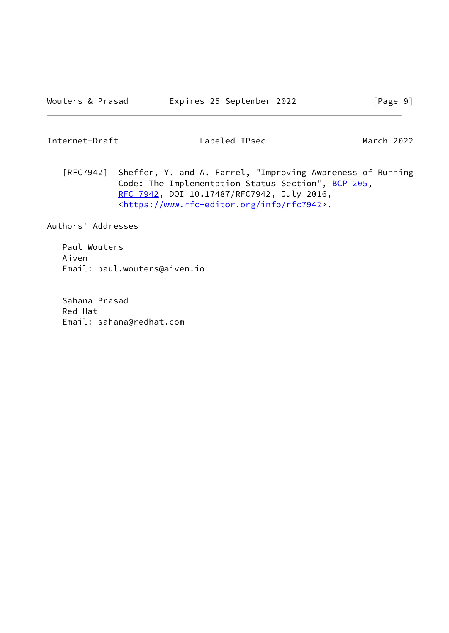<span id="page-10-0"></span>Internet-Draft Labeled IPsec March 2022

 [RFC7942] Sheffer, Y. and A. Farrel, "Improving Awareness of Running Code: The Implementation Status Section", [BCP 205](https://datatracker.ietf.org/doc/pdf/bcp205), [RFC 7942,](https://datatracker.ietf.org/doc/pdf/rfc7942) DOI 10.17487/RFC7942, July 2016, <[https://www.rfc-editor.org/info/rfc7942>](https://www.rfc-editor.org/info/rfc7942).

Authors' Addresses

 Paul Wouters Aiven Email: paul.wouters@aiven.io

 Sahana Prasad Red Hat Email: sahana@redhat.com